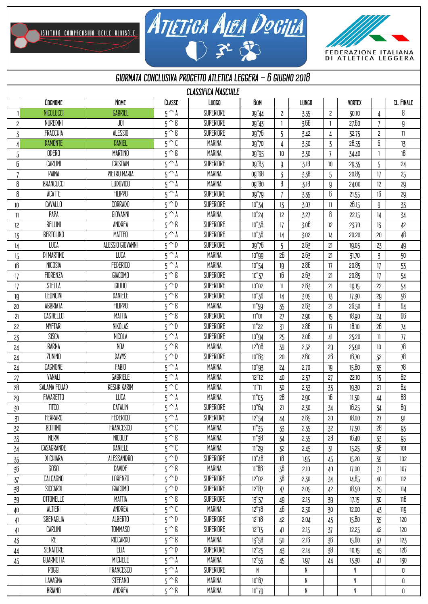,<br>Istituto comprensivo delle albisole.





## *giornata conclusiva progetto atletica leggera - 6 giugno 2018*

| <b>CLASSIFICA MASCHILE</b> |                   |                    |                         |                   |                 |                |              |                         |               |                 |                            |
|----------------------------|-------------------|--------------------|-------------------------|-------------------|-----------------|----------------|--------------|-------------------------|---------------|-----------------|----------------------------|
|                            | COGNOME           | <b>NOME</b>        | CLASSE                  | Luo <sub>60</sub> | <b>60M</b>      |                | <b>LUNGO</b> |                         | <b>VORTEX</b> |                 | CL. FINALE                 |
|                            | NICOLUCCI         | GABRIEL            | $5^{\overline{A}}$      | SUPERIORE         | 09"44           | $\overline{c}$ | 3.55         | $\overline{\mathbf{c}}$ | 30.10         | 4               | 8                          |
| 2                          | NUREDINI          | JOI                | $5^{\wedge}$ B          | SUPERIORE         | 09"43           | -1             | 3.66         | 1                       | 27,60         | 7               | 9                          |
| 3                          | <b>FRACCHIA</b>   | ALESSIO            | $5^{\wedge}$ B          | SUPERIORE         | 09"76           | 5              | 3.42         | 4                       | 32.75         | 2               | $\ensuremath{\mathsf{11}}$ |
|                            | <b>DAMONTE</b>    | <b>DANIEL</b>      | $5^{\sim}$              | <b>MARINA</b>     | 09"70           | 4              | 3.50         | $\mathbf 3$             | 28.55         | 6               | 13                         |
| 5                          | ODERO             | <b>MARTINO</b>     | $5^{\wedge}$ B          | MARINA            | 09"95           | 10             | 3.30         | $\overline{1}$          | 34.40         |                 | $18\,$                     |
| 6                          | CARLINI           | CRISTIAN           | $5^{\wedge}$ A          | SUPERIORE         | 09"83           | 9              | 3.18         | 10                      | 29.35         | 5               | 24                         |
|                            | PAINA             | PIETRO MARIA       | $5^{\wedge}$ A          | <b>MARINA</b>     | 09"68           | $\overline{3}$ | 3.38         | 5                       | 20.85         | 17              | 25                         |
| 8                          | <b>BRANCUCCI</b>  | <b>LUDOVICO</b>    | $5^{\wedge}$ A          | <b>MARINA</b>     | 09"80           | 8              | 3.18         | ${\mathfrak g}$         | 24.00         | 12              | 29                         |
| 8                          | ACATTE            | <b>FILIPPO</b>     | $5^{\wedge}$ A          | SUPERIORE         | 09"79           | 7              | 3.35         | 6                       | 21.55         | 16              | 29                         |
| 10                         | CAVALLO           | CORRADO            | $5^{\overline{0}}$      | SUPERIORE         | 10"34           | 13             | 3.07         | 11                      | 26.15         | ${\mathfrak g}$ | 33                         |
| $\mathbf{1}$               | PAPA              | GIOVANNI           | $5^{\wedge}$ A          | MARINA            | 10"24           | 12             | 3.27         | 8                       | 22.15         | 14              | 34                         |
| 12                         | BELLINI           | ANDREA             | $5^{\wedge}$ B          | SUPERIORE         | 10"38           | 17             | 3.06         | 12                      | 23.70         | 13              | 42                         |
| 13                         | <b>BERTOLINO</b>  | <b>MATTEO</b>      | $5^{\wedge}$ A          | SUPERIORE         | 10"36           | 14             | 3.02         | 14                      | 20,20         | 20              | 48                         |
| 14                         | LUCA              | ALESSIO GIOVANNI   | $5^{\wedge}D$           | SUPERIORE         | 09"76           | 5              | 2.63         | 21                      | 19.05         | 23              | 49                         |
| 15                         | <b>DI MARTINO</b> | <b>LUCA</b>        | $5^{\wedge}$ A          | <b>MARINA</b>     | 10"99           | 26             | 2.63         | 21                      | 31,70         | $\overline{3}$  | 50                         |
| 16                         | NICOSIA           | FEDERICO           | $5^{\wedge}$ A          | MARINA            | 10"54           | 19             | 2,86         | 17                      | 20.85         | 17              | 53                         |
| 17                         | FIORENZA          | <b>GIACOMO</b>     | $5^{\overline{8}}$      | SUPERIORE         | 10''37          | 16             | 2.63         | 21                      | 20.85         | 17              | 54                         |
| 17                         | STELLA            | GIULIO             | $5^{\wedge}D$           | SUPERIORE         | $10"02$         | $\mathbb{I}$   | 2.63         | 21                      | 19.15         | 22              | 54                         |
| 19                         | LEONCINI          | DANIELE            | $5^{\overline{8}}$      | SUPERIORE         | 10"36           | 14             | 3.05         | 13                      | 17.30         | 29              | 56                         |
| 20                         | ABBRIATA          | <b>FILIPPO</b>     | $5^{\wedge}$ B          | <b>MARINA</b>     | 11"59           | 35             | 2.63         | 21                      | 26,50         | 8               | 64                         |
| 21                         | CASTIELLO         | <b>MATTIA</b>      | $5^{\overline{8}}$      | SUPERIORE         | $11"01$         | 27             | 2.90         | 15                      | 18,90         | 24              | 66                         |
| 22                         | <b>MYFTARI</b>    | NIKOLAS            | $5^{\wedge}D$           | SUPERIORE         | 11"22           | 31             | 2.86         | 17                      | 18,10         | 26              | 74                         |
| 23                         | SISCA             | NICOLA             | $5^{\wedge}$ A          | SUPERIORE         | 10"94           | 25             | 2.08         | 41                      | 25,20         | $\mathbf{1}$    | $77\,$                     |
| 24                         | <b>BARNA</b>      | NOA                | $5^\sim$ $\overline{8}$ | <b>MARINA</b>     | 12"08           | 39             | 2.52         | 29                      | 25.90         | 10              | $\overline{78}$            |
| 24                         | ZUNINO            | DAVYS              | $5^{\wedge}D$           | SUPERIORE         | 10"63           | 20             | 2,60         | 26                      | 16.70         | 32              | 78                         |
| 24                         | CAGNONE           | FABIO              | $5^{\wedge}$ A          | MARINA            | 10"93           | 24             | 2.70         | 19                      | 15.80         | 35              | 78                         |
| 27                         | VANALI            | GABRIELE           | $5^{\wedge}$ A          | MARINA            | 12"12           | 40             | 2.57         | 27                      | 22,10         | 15              | 82                         |
| 28                         | SALAMA FOUAD      | <b>KESHK KARIM</b> | $5^{\wedge}C$           | MARINA            | $11"11$         | 30             | 2.33         | 33                      | 19.30         | 21              | 84                         |
| 29                         | FAVARETTO         | LUCA               | $5^{\wedge}$ A          | <b>MARINA</b>     | 11"03           | 28             | 2.90         | 16                      | 11.30         | $44\,$          | 88                         |
| 30                         | TITCO             | CATALIN            | 5^A                     | SUPERIORE         | 10"64           | 21             | 2.30         | 34                      | 16.25         | 34              | 89                         |
| 31                         | FERRARO           | FEDERICO           | $5^{\wedge}$ A          | SUPERIORE         | 12"54           | 44             | 2.65         | 20                      | 18.00         | 27              | 91                         |
| 32                         | <b>BOTTINO</b>    | FRANCESCO          | $5^{\wedge}C$           | MARINA            | 11"35           | 33             | 2.35         | 32                      | 17.50         | 28              | 93                         |
| 33                         | <b>NERVI</b>      | NICOLO'            | $5^{\wedge}$ B          | <b>MARINA</b>     | 11"38           | 34             | 2.55         | 28                      | 16,40         | 33              | 95                         |
| 34                         | CASAGRANDE        | DANIELE            | $5^{\wedge}C$           | <b>MARINA</b>     | 11"29           | 32             | 2.45         | 31                      | 15.25         | 38              | 101                        |
| $35\,$                     | DI CHIARA         | ALESSANDRO         | $5^{\wedge}D$           | SUPERIORE         | 10"48           | 18             | 1.95         | 45                      | 15.20         | 39              | 102                        |
| 36                         | GOSO              | DAVIDE             | $5^{\wedge}$ B          | <b>MARINA</b>     | 11"86           | 36             | 2,10         | 40                      | 17.00         | 31              | 107                        |
| 37                         | CALCAGNO          | LORENZO            | $5^{\wedge}D$           | SUPERIORE         | 12''02          | 38             | 2.30         | 34                      | 14.85         | 40              | 112                        |
| $38\,$                     | SICCARDI          | GIACOMO            | $5^{\wedge}D$           | SUPERIORE         | 12''87          | 47             | 2.05         | 42                      | 18,50         | 25              | 114                        |
| 39                         | OTTONELLO         | MATTIA             | $5^{\wedge}$ B          | SUPERIORE         | 13"57           | 49             | 2.13         | 39                      | 17.15         | 30              | 118                        |
| 40                         | ALTIERI           | ANDREA             | $5^{\wedge}C$           | MARINA            | 12"78           | 46             | 2.50         | 30                      | 12,00         | 43              | 119                        |
| 41                         | SBENAGLIA         | ALBERTO            | $5^{\wedge}D$           | SUPERIORE         | 12"18           | 42             | 2.04         | 43                      | 15,80         | 35              | 120                        |
| $\downarrow$               | CARLINI           | <b>TOMMASO</b>     | $5^{\wedge}$ B          | SUPERIORE         | 12"13           | 41             | 2.15         | 37                      | 12.25         | 42              | 120                        |
| 43                         | RE                | <b>RICCARDO</b>    | $5^{\wedge}$ B          | <b>MARINA</b>     | 13"58           | 50             | 2.16         | 36                      | 15.60         | 37              | 123                        |
| 44                         | SENATORE          | ELIA               | $5^{\wedge}D$           | SUPERIORE         | 12''25          | 43             | 2.14         | 38                      | 10.15         | 45              | 126                        |
| 45                         | GUARNOTTA         | <b>MICHELE</b>     | $5^{\wedge}$ A          | MARINA            | 12"55           | 45             | 1.97         | 44                      | 13.30         | $\downarrow$    | 130                        |
|                            | POGGI             | FRANCESCO          | $5^{\wedge}$ A          | SUPERIORE         | N               |                | N            |                         | N             |                 | 0                          |
|                            | LAVAGNA           | STEFANO            | $5^{\wedge}$ B          | MARINA            | 10"67           |                | N            |                         | N             |                 | 0                          |
|                            | BRIANO            | ANDREA             | $5^{\wedge}$ B          | MARINA            | $10^{\rm o}$ 79 |                | N            |                         | N             |                 | 0                          |